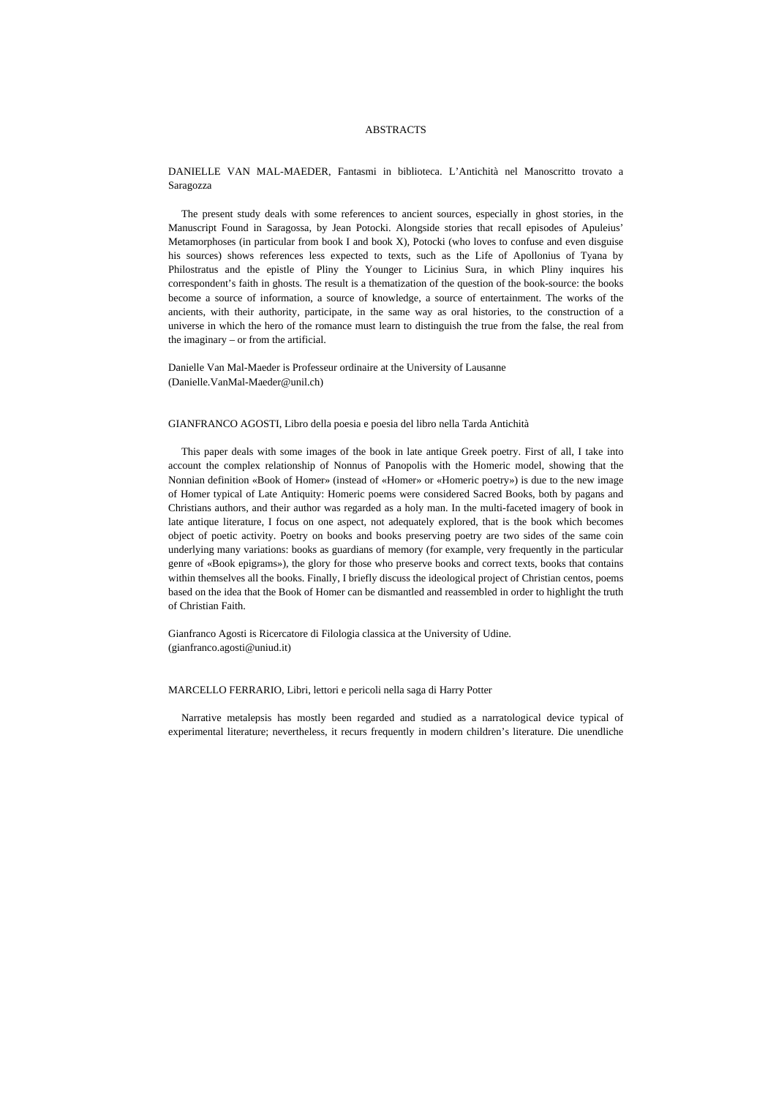## ABSTRACTS

DANIELLE VAN MAL-MAEDER, Fantasmi in biblioteca. L'Antichità nel Manoscritto trovato a Saragozza

The present study deals with some references to ancient sources, especially in ghost stories, in the Manuscript Found in Saragossa, by Jean Potocki. Alongside stories that recall episodes of Apuleius' Metamorphoses (in particular from book I and book X), Potocki (who loves to confuse and even disguise his sources) shows references less expected to texts, such as the Life of Apollonius of Tyana by Philostratus and the epistle of Pliny the Younger to Licinius Sura, in which Pliny inquires his correspondent's faith in ghosts. The result is a thematization of the question of the book-source: the books become a source of information, a source of knowledge, a source of entertainment. The works of the ancients, with their authority, participate, in the same way as oral histories, to the construction of a universe in which the hero of the romance must learn to distinguish the true from the false, the real from the imaginary – or from the artificial.

Danielle Van Mal-Maeder is Professeur ordinaire at the University of Lausanne (Danielle.VanMal-Maeder@unil.ch)

GIANFRANCO AGOSTI, Libro della poesia e poesia del libro nella Tarda Antichità

This paper deals with some images of the book in late antique Greek poetry. First of all, I take into account the complex relationship of Nonnus of Panopolis with the Homeric model, showing that the Nonnian definition «Book of Homer» (instead of «Homer» or «Homeric poetry») is due to the new image of Homer typical of Late Antiquity: Homeric poems were considered Sacred Books, both by pagans and Christians authors, and their author was regarded as a holy man. In the multi-faceted imagery of book in late antique literature, I focus on one aspect, not adequately explored, that is the book which becomes object of poetic activity. Poetry on books and books preserving poetry are two sides of the same coin underlying many variations: books as guardians of memory (for example, very frequently in the particular genre of «Book epigrams»), the glory for those who preserve books and correct texts, books that contains within themselves all the books. Finally, I briefly discuss the ideological project of Christian centos, poems based on the idea that the Book of Homer can be dismantled and reassembled in order to highlight the truth of Christian Faith.

Gianfranco Agosti is Ricercatore di Filologia classica at the University of Udine. (gianfranco.agosti@uniud.it)

## MARCELLO FERRARIO, Libri, lettori e pericoli nella saga di Harry Potter

Narrative metalepsis has mostly been regarded and studied as a narratological device typical of experimental literature; nevertheless, it recurs frequently in modern children's literature. Die unendliche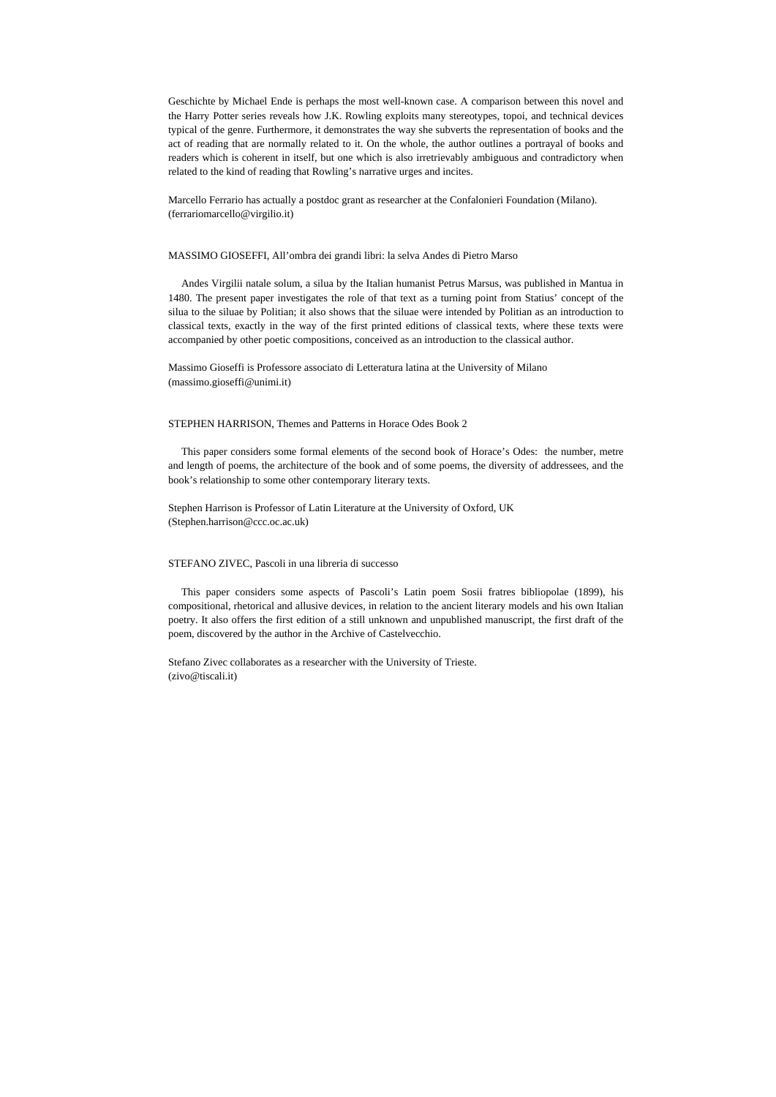Geschichte by Michael Ende is perhaps the most well-known case. A comparison between this novel and the Harry Potter series reveals how J.K. Rowling exploits many stereotypes, topoi, and technical devices typical of the genre. Furthermore, it demonstrates the way she subverts the representation of books and the act of reading that are normally related to it. On the whole, the author outlines a portrayal of books and readers which is coherent in itself, but one which is also irretrievably ambiguous and contradictory when related to the kind of reading that Rowling's narrative urges and incites.

Marcello Ferrario has actually a postdoc grant as researcher at the Confalonieri Foundation (Milano). (ferrariomarcello@virgilio.it)

#### MASSIMO GIOSEFFI, All'ombra dei grandi libri: la selva Andes di Pietro Marso

Andes Virgilii natale solum, a silua by the Italian humanist Petrus Marsus, was published in Mantua in 1480. The present paper investigates the role of that text as a turning point from Statius' concept of the silua to the siluae by Politian; it also shows that the siluae were intended by Politian as an introduction to classical texts, exactly in the way of the first printed editions of classical texts, where these texts were accompanied by other poetic compositions, conceived as an introduction to the classical author.

Massimo Gioseffi is Professore associato di Letteratura latina at the University of Milano (massimo.gioseffi@unimi.it)

## STEPHEN HARRISON, Themes and Patterns in Horace Odes Book 2

This paper considers some formal elements of the second book of Horace's Odes: the number, metre and length of poems, the architecture of the book and of some poems, the diversity of addressees, and the book's relationship to some other contemporary literary texts.

Stephen Harrison is Professor of Latin Literature at the University of Oxford, UK (Stephen.harrison@ccc.oc.ac.uk)

## STEFANO ZIVEC, Pascoli in una libreria di successo

This paper considers some aspects of Pascoli's Latin poem Sosii fratres bibliopolae (1899), his compositional, rhetorical and allusive devices, in relation to the ancient literary models and his own Italian poetry. It also offers the first edition of a still unknown and unpublished manuscript, the first draft of the poem, discovered by the author in the Archive of Castelvecchio.

Stefano Zivec collaborates as a researcher with the University of Trieste. (zivo@tiscali.it)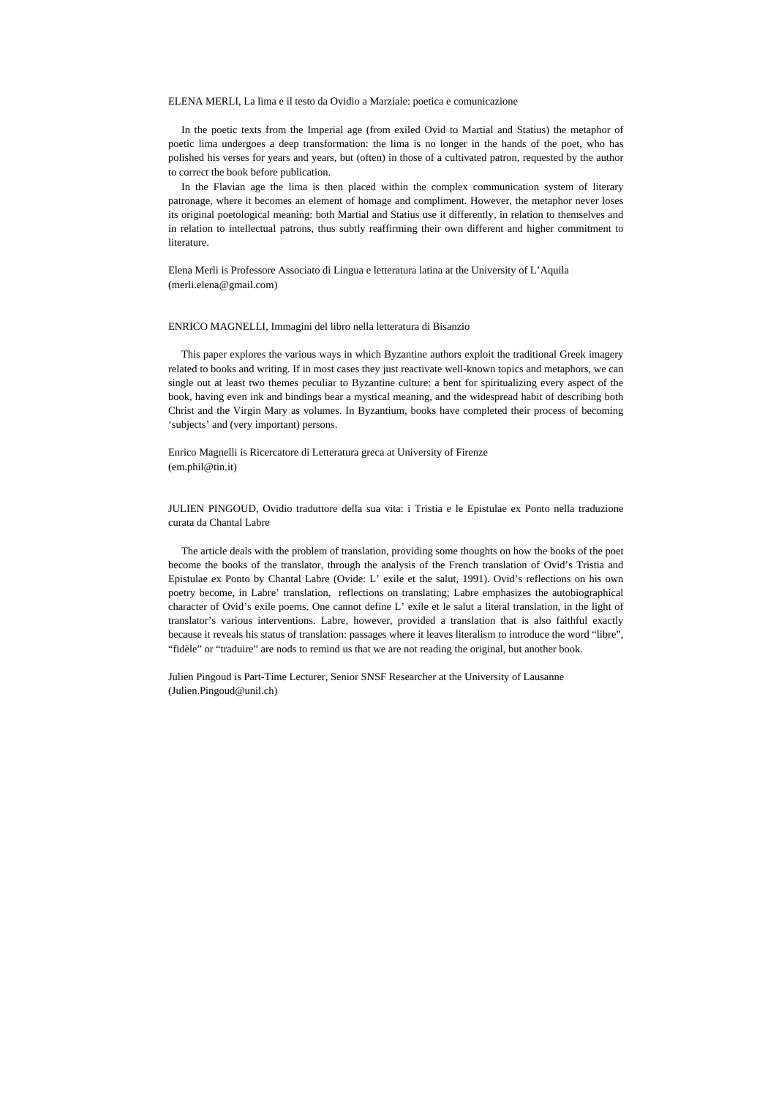ELENA MERLI, La lima e il testo da Ovidio a Marziale: poetica e comunicazione

In the poetic texts from the Imperial age (from exiled Ovid to Martial and Statius) the metaphor of poetic lima undergoes a deep transformation: the lima is no longer in the hands of the poet, who has polished his verses for years and years, but (often) in those of a cultivated patron, requested by the author to correct the book before publication.

In the Flavian age the lima is then placed within the complex communication system of literary patronage, where it becomes an element of homage and compliment. However, the metaphor never loses its original poetological meaning: both Martial and Statius use it differently, in relation to themselves and in relation to intellectual patrons, thus subtly reaffirming their own different and higher commitment to literature.

Elena Merli is Professore Associato di Lingua e letteratura latina at the University of L'Aquila (merli.elena@gmail.com)

#### ENRICO MAGNELLI, Immagini del libro nella letteratura di Bisanzio

This paper explores the various ways in which Byzantine authors exploit the traditional Greek imagery related to books and writing. If in most cases they just reactivate well-known topics and metaphors, we can single out at least two themes peculiar to Byzantine culture: a bent for spiritualizing every aspect of the book, having even ink and bindings bear a mystical meaning, and the widespread habit of describing both Christ and the Virgin Mary as volumes. In Byzantium, books have completed their process of becoming 'subjects' and (very important) persons.

Enrico Magnelli is Ricercatore di Letteratura greca at University of Firenze (em.phil@tin.it)

# JULIEN PINGOUD, Ovidio traduttore della sua vita: i Tristia e le Epistulae ex Ponto nella traduzione curata da Chantal Labre

The article deals with the problem of translation, providing some thoughts on how the books of the poet become the books of the translator, through the analysis of the French translation of Ovid's Tristia and Epistulae ex Ponto by Chantal Labre (Ovide: L' exile et the salut, 1991). Ovid's reflections on his own poetry become, in Labre' translation, reflections on translating; Labre emphasizes the autobiographical character of Ovid's exile poems. One cannot define L' exile et le salut a literal translation, in the light of translator's various interventions. Labre, however, provided a translation that is also faithful exactly because it reveals his status of translation: passages where it leaves literalism to introduce the word "libre", "fidèle" or "traduire" are nods to remind us that we are not reading the original, but another book.

Julien Pingoud is Part-Time Lecturer, Senior SNSF Researcher at the University of Lausanne (Julien.Pingoud@unil.ch)